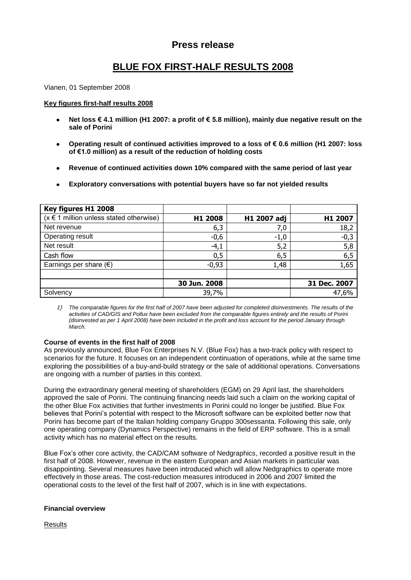## **Press release**

# **BLUE FOX FIRST-HALF RESULTS 2008**

Vianen, 01 September 2008

### **Key figures first-half results 2008**

- **Net loss € 4.1 million (H1 2007: a profit of € 5.8 million), mainly due negative result on the**   $\bullet$ **sale of Porini**
- **Operating result of continued activities improved to a loss of € 0.6 million (H1 2007: loss**   $\bullet$ **of €1.0 million) as a result of the reduction of holding costs**
- **Revenue of continued activities down 10% compared with the same period of last year**
- **Exploratory conversations with potential buyers have so far not yielded results**

| Key figures H1 2008                         |              |             |              |
|---------------------------------------------|--------------|-------------|--------------|
| $(x \in 1$ million unless stated otherwise) | H1 2008      | H1 2007 adj | H1 2007      |
| Net revenue                                 | 6,3          | 7,0         | 18,2         |
| Operating result                            | $-0,6$       | $-1,0$      | $-0,3$       |
| Net result                                  | $-4,1$       | 5,2         | 5,8          |
| Cash flow                                   | 0,5          | 6,5         | 6,5          |
| Earnings per share $(\epsilon)$             | $-0,93$      | 1,48        | 1,65         |
|                                             |              |             |              |
|                                             | 30 Jun. 2008 |             | 31 Dec. 2007 |
| Solvency                                    | 39,7%        |             | 47,6%        |

1) *The comparable figures for the first half of 2007 have been adjusted for completed disinvestments. The results of the activities of CAD/GIS and Pollux have been excluded from the comparable figures entirely and the results of Porini (disinvested as per 1 April 2008) have been included in the profit and loss account for the period January through March.* 

### **Course of events in the first half of 2008**

As previously announced, Blue Fox Enterprises N.V. (Blue Fox) has a two-track policy with respect to scenarios for the future. It focuses on an independent continuation of operations, while at the same time exploring the possibilities of a buy-and-build strategy or the sale of additional operations. Conversations are ongoing with a number of parties in this context.

During the extraordinary general meeting of shareholders (EGM) on 29 April last, the shareholders approved the sale of Porini. The continuing financing needs laid such a claim on the working capital of the other Blue Fox activities that further investments in Porini could no longer be justified. Blue Fox believes that Porini's potential with respect to the Microsoft software can be exploited better now that Porini has become part of the Italian holding company Gruppo 300sessanta. Following this sale, only one operating company (Dynamics Perspective) remains in the field of ERP software. This is a small activity which has no material effect on the results.

Blue Fox's other core activity, the CAD/CAM software of Nedgraphics, recorded a positive result in the first half of 2008. However, revenue in the eastern European and Asian markets in particular was disappointing. Several measures have been introduced which will allow Nedgraphics to operate more effectively in those areas. The cost-reduction measures introduced in 2006 and 2007 limited the operational costs to the level of the first half of 2007, which is in line with expectations.

### **Financial overview**

**Results**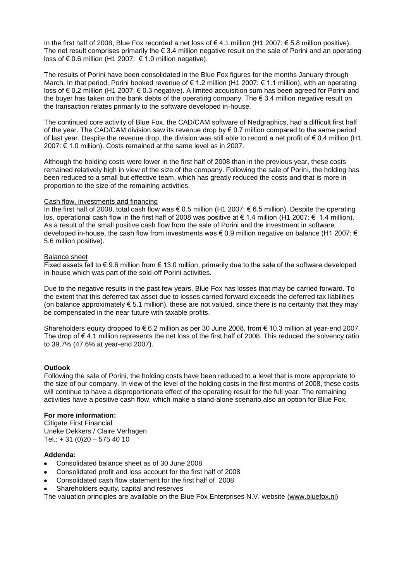In the first half of 2008. Blue Fox recorded a net loss of €4.1 million (H1 2007: € 5.8 million positive). The net result comprises primarily the  $\epsilon$  3.4 million negative result on the sale of Porini and an operating loss of € 0.6 million (H1 2007:  $€ 1.0$  million negative).

The results of Porini have been consolidated in the Blue Fox figures for the months January through March. In that period, Porini booked revenue of € 1.2 million (H1 2007: € 1.1 million), with an operating loss of € 0.2 million (H1 2007: € 0.3 negative). A limited acquisition sum has been agreed for Porini and the buyer has taken on the bank debts of the operating company. The  $\epsilon$  3.4 million negative result on the transaction relates primarily to the software developed in-house.

The continued core activity of Blue Fox, the CAD/CAM software of Nedgraphics, had a difficult first half of the year. The CAD/CAM division saw its revenue drop by  $\epsilon$  0.7 million compared to the same period of last year. Despite the revenue drop, the division was still able to record a net profit of  $\epsilon$  0.4 million (H1 2007: € 1.0 million). Costs remained at the same level as in 2007.

Although the holding costs were lower in the first half of 2008 than in the previous year, these costs remained relatively high in view of the size of the company. Following the sale of Porini, the holding has been reduced to a small but effective team, which has greatly reduced the costs and that is more in proportion to the size of the remaining activities.

### Cash flow, investments and financing

In the first half of 2008, total cash flow was € 0.5 million (H1 2007: € 6.5 million). Despite the operating los, operational cash flow in the first half of 2008 was positive at € 1.4 million (H1 2007: € 1.4 million). As a result of the small positive cash flow from the sale of Porini and the investment in software developed in-house, the cash flow from investments was € 0.9 million negative on balance (H1 2007: € 5.6 million positive).

### Balance sheet

Fixed assets fell to  $\epsilon$  9.6 million from  $\epsilon$  13.0 million, primarily due to the sale of the software developed in-house which was part of the sold-off Porini activities.

Due to the negative results in the past few years, Blue Fox has losses that may be carried forward. To the extent that this deferred tax asset due to losses carried forward exceeds the deferred tax liabilities (on balance approximately  $\epsilon$  5.1 million), these are not valued, since there is no certainty that they may be compensated in the near future with taxable profits.

Shareholders equity dropped to  $\epsilon$  6.2 million as per 30 June 2008, from  $\epsilon$  10.3 million at year-end 2007. The drop of € 4.1 million represents the net loss of the first half of 2008. This reduced the solvency ratio to 39.7% (47.6% at year-end 2007).

## **Outlook**

Following the sale of Porini, the holding costs have been reduced to a level that is more appropriate to the size of our company. In view of the level of the holding costs in the first months of 2008, these costs will continue to have a disproportionate effect of the operating result for the full year. The remaining activities have a positive cash flow, which make a stand-alone scenario also an option for Blue Fox.

## **For more information:**

Citigate First Financial Uneke Dekkers / Claire Verhagen Tel.: + 31 (0)20 – 575 40 10

### **Addenda:**

- Consolidated balance sheet as of 30 June 2008
- Consolidated profit and loss account for the first half of 2008
- Consolidated cash flow statement for the first half of 2008
- Shareholders equity, capital and reserves

The valuation principles are available on the Blue Fox Enterprises N.V. website [\(www.bluefox.nl\)](http://www.bluefox.nl/)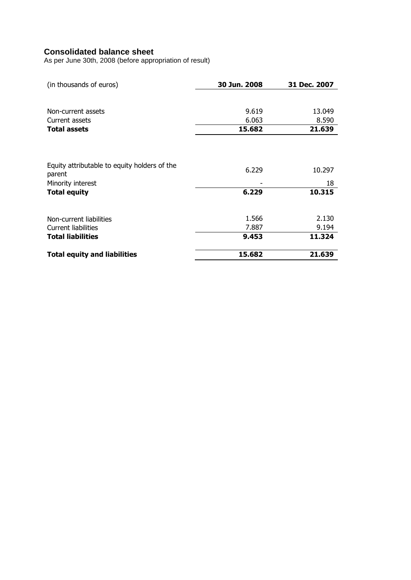## **Consolidated balance sheet**

As per June 30th, 2008 (before appropriation of result)

| (in thousands of euros)                                | 30 Jun. 2008 | 31 Dec. 2007 |
|--------------------------------------------------------|--------------|--------------|
|                                                        |              |              |
| Non-current assets                                     | 9.619        | 13.049       |
| Current assets                                         | 6.063        | 8.590        |
| <b>Total assets</b>                                    | 15.682       | 21.639       |
|                                                        |              |              |
| Equity attributable to equity holders of the<br>parent | 6.229        | 10.297       |
| Minority interest                                      |              | 18           |
| <b>Total equity</b>                                    | 6.229        | 10.315       |
| Non-current liabilities                                | 1.566        | 2.130        |
| Current liabilities                                    | 7.887        | 9.194        |
| <b>Total liabilities</b>                               | 9.453        | 11.324       |
| <b>Total equity and liabilities</b>                    | 15.682       | 21.639       |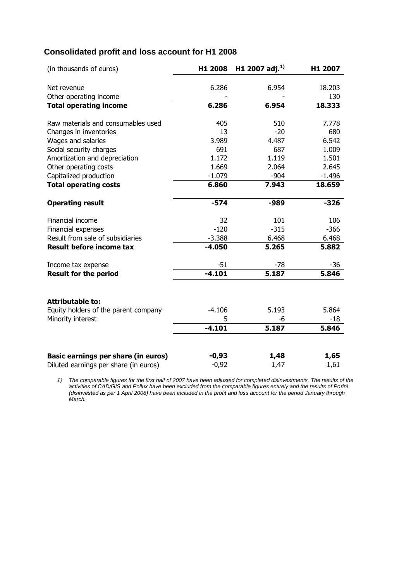## **Consolidated profit and loss account for H1 2008**

| (in thousands of euros)               | H1 2008  | H1 2007 adj. <sup>1)</sup> | H1 2007  |
|---------------------------------------|----------|----------------------------|----------|
|                                       |          |                            |          |
| Net revenue                           | 6.286    | 6.954                      | 18.203   |
| Other operating income                |          |                            | 130      |
| <b>Total operating income</b>         | 6.286    | 6.954                      | 18.333   |
| Raw materials and consumables used    | 405      | 510                        | 7.778    |
| Changes in inventories                | 13       | $-20$                      | 680      |
| Wages and salaries                    | 3.989    | 4.487                      | 6.542    |
| Social security charges               | 691      | 687                        | 1.009    |
| Amortization and depreciation         | 1.172    | 1.119                      | 1.501    |
| Other operating costs                 | 1.669    | 2.064                      | 2.645    |
| Capitalized production                | $-1.079$ | $-904$                     | $-1.496$ |
| <b>Total operating costs</b>          | 6.860    | 7.943                      | 18.659   |
| <b>Operating result</b>               | $-574$   | -989                       | $-326$   |
|                                       |          |                            |          |
| Financial income                      | 32       | 101                        | 106      |
| Financial expenses                    | $-120$   | $-315$                     | $-366$   |
| Result from sale of subsidiaries      | $-3.388$ | 6.468                      | 6.468    |
| <b>Result before income tax</b>       | $-4.050$ | 5.265                      | 5.882    |
| Income tax expense                    | $-51$    | -78                        | $-36$    |
| <b>Result for the period</b>          | $-4.101$ | 5.187                      | 5.846    |
|                                       |          |                            |          |
| <b>Attributable to:</b>               |          |                            |          |
| Equity holders of the parent company  | $-4.106$ | 5.193                      | 5.864    |
| Minority interest                     | 5        | -6                         | -18      |
|                                       | $-4.101$ | 5.187                      | 5.846    |
|                                       |          |                            |          |
| Basic earnings per share (in euros)   | $-0,93$  | 1,48                       | 1,65     |
| Diluted earnings per share (in euros) | $-0,92$  | 1,47                       | 1,61     |

1) *The comparable figures for the first half of 2007 have been adjusted for completed disinvestments. The results of the activities of CAD/GIS and Pollux have been excluded from the comparable figures entirely and the results of Porini (disinvested as per 1 April 2008) have been included in the profit and loss account for the period January through March.*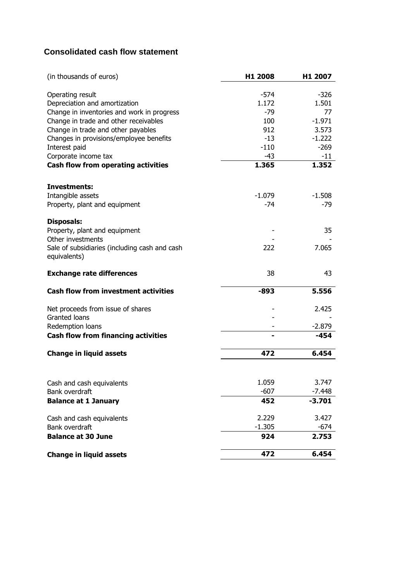## **Consolidated cash flow statement**

| (in thousands of euros)                                       | H1 2008       | H1 2007         |
|---------------------------------------------------------------|---------------|-----------------|
|                                                               |               |                 |
| Operating result<br>Depreciation and amortization             | -574<br>1.172 | $-326$<br>1.501 |
| Change in inventories and work in progress                    | -79           | 77              |
| Change in trade and other receivables                         | 100           | $-1.971$        |
| Change in trade and other payables                            | 912           | 3.573           |
| Changes in provisions/employee benefits                       | $-13$         | $-1.222$        |
| Interest paid                                                 | $-110$        | $-269$          |
| Corporate income tax                                          | -43           | $-11$           |
| <b>Cash flow from operating activities</b>                    | 1.365         | 1.352           |
| Investments:                                                  |               |                 |
| Intangible assets                                             | $-1.079$      | $-1.508$        |
| Property, plant and equipment                                 | -74           | $-79$           |
| <b>Disposals:</b>                                             |               |                 |
| Property, plant and equipment                                 |               | 35              |
| Other investments                                             |               |                 |
| Sale of subsidiaries (including cash and cash<br>equivalents) | 222           | 7.065           |
| <b>Exchange rate differences</b>                              | 38            | 43              |
| <b>Cash flow from investment activities</b>                   | -893          | 5.556           |
| Net proceeds from issue of shares                             |               | 2.425           |
| Granted loans                                                 |               |                 |
| Redemption loans                                              |               | $-2.879$        |
| <b>Cash flow from financing activities</b>                    |               | -454            |
| <b>Change in liquid assets</b>                                | 472           | 6.454           |
|                                                               |               |                 |
| Cash and cash equivalents                                     | 1.059         | 3.747           |
| Bank overdraft                                                | $-607$        | $-7.448$        |
| <b>Balance at 1 January</b>                                   | 452           | $-3.701$        |
| Cash and cash equivalents                                     | 2.229         | 3.427           |
| Bank overdraft                                                | $-1.305$      | $-674$          |
| <b>Balance at 30 June</b>                                     | 924           | 2.753           |
| <b>Change in liquid assets</b>                                | 472           | 6.454           |